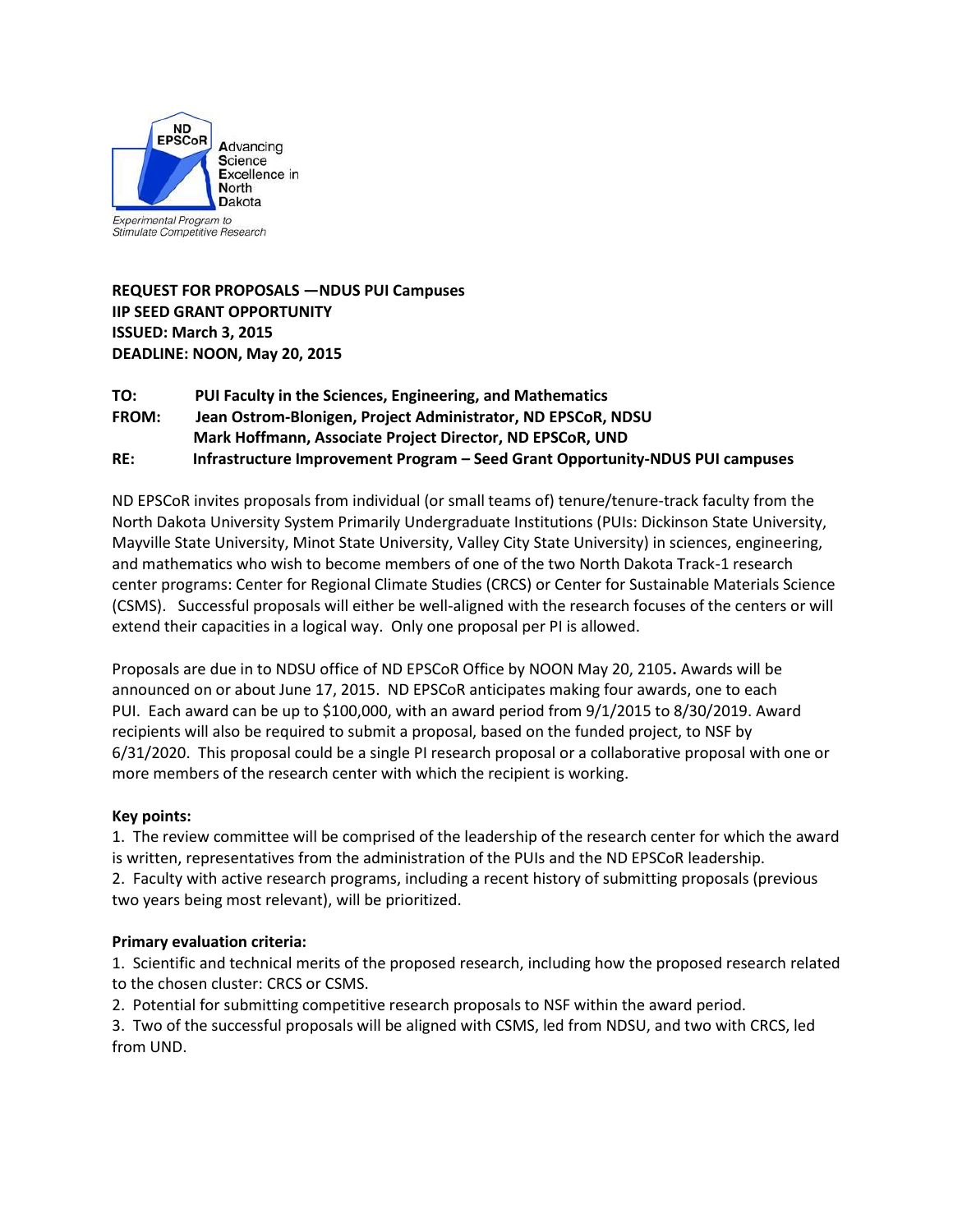

**REQUEST FOR PROPOSALS —NDUS PUI Campuses IIP SEED GRANT OPPORTUNITY ISSUED: March 3, 2015 DEADLINE: NOON, May 20, 2015**

## **TO: PUI Faculty in the Sciences, Engineering, and Mathematics FROM: Jean Ostrom-Blonigen, Project Administrator, ND EPSCoR, NDSU Mark Hoffmann, Associate Project Director, ND EPSCoR, UND RE: Infrastructure Improvement Program – Seed Grant Opportunity-NDUS PUI campuses**

ND EPSCoR invites proposals from individual (or small teams of) tenure/tenure-track faculty from the North Dakota University System Primarily Undergraduate Institutions (PUIs: Dickinson State University, Mayville State University, Minot State University, Valley City State University) in sciences, engineering, and mathematics who wish to become members of one of the two North Dakota Track-1 research center programs: Center for Regional Climate Studies (CRCS) or Center for Sustainable Materials Science (CSMS). Successful proposals will either be well-aligned with the research focuses of the centers or will extend their capacities in a logical way. Only one proposal per PI is allowed.

Proposals are due in to NDSU office of ND EPSCoR Office by NOON May 20, 2105**.** Awards will be announced on or about June 17, 2015. ND EPSCoR anticipates making four awards, one to each PUI. Each award can be up to \$100,000, with an award period from 9/1/2015 to 8/30/2019. Award recipients will also be required to submit a proposal, based on the funded project, to NSF by 6/31/2020. This proposal could be a single PI research proposal or a collaborative proposal with one or more members of the research center with which the recipient is working.

#### **Key points:**

1. The review committee will be comprised of the leadership of the research center for which the award is written, representatives from the administration of the PUIs and the ND EPSCoR leadership. 2. Faculty with active research programs, including a recent history of submitting proposals (previous two years being most relevant), will be prioritized.

# **Primary evaluation criteria:**

1. Scientific and technical merits of the proposed research, including how the proposed research related to the chosen cluster: CRCS or CSMS.

2. Potential for submitting competitive research proposals to NSF within the award period.

3. Two of the successful proposals will be aligned with CSMS, led from NDSU, and two with CRCS, led from UND.